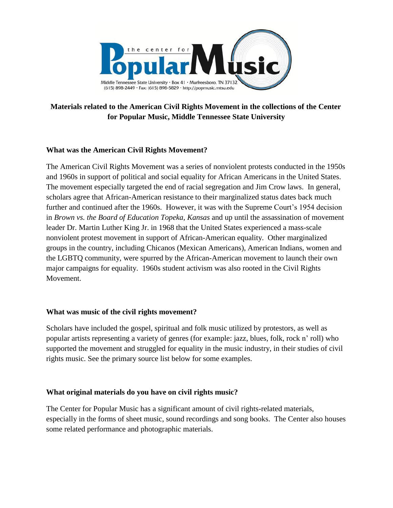

## **Materials related to the American Civil Rights Movement in the collections of the Center for Popular Music, Middle Tennessee State University**

## **What was the American Civil Rights Movement?**

The American Civil Rights Movement was a series of nonviolent protests conducted in the 1950s and 1960s in support of political and social equality for African Americans in the United States. The movement especially targeted the end of racial segregation and Jim Crow laws. In general, scholars agree that African-American resistance to their marginalized status dates back much further and continued after the 1960s. However, it was with the Supreme Court's 1954 decision in *Brown vs. the Board of Education Topeka, Kansas* and up until the assassination of movement leader Dr. Martin Luther King Jr. in 1968 that the United States experienced a mass-scale nonviolent protest movement in support of African-American equality. Other marginalized groups in the country, including Chicanos (Mexican Americans), American Indians, women and the LGBTQ community, were spurred by the African-American movement to launch their own major campaigns for equality. 1960s student activism was also rooted in the Civil Rights Movement.

#### **What was music of the civil rights movement?**

Scholars have included the gospel, spiritual and folk music utilized by protestors, as well as popular artists representing a variety of genres (for example: jazz, blues, folk, rock n' roll) who supported the movement and struggled for equality in the music industry, in their studies of civil rights music. See the primary source list below for some examples.

## **What original materials do you have on civil rights music?**

The Center for Popular Music has a significant amount of civil rights-related materials, especially in the forms of sheet music, sound recordings and song books. The Center also houses some related performance and photographic materials.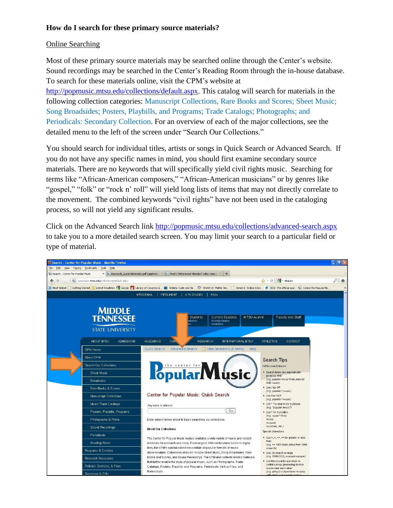## **How do I search for these primary source materials?**

## Online Searching

Most of these primary source materials may be searched online through the Center's website. Sound recordings may be searched in the Center's Reading Room through the in-house database. To search for these materials online, visit the CPM's website at [http://popmusic.mtsu.edu/collections/default.aspx.](http://popmusic.mtsu.edu/collections/default.aspx) This catalog will search for materials in the following collection categories: Manuscript Collections, Rare Books and Scores; Sheet Music; Song Broadsides; Posters, Playbills, and Programs; Trade Catalogs; Photographs; and Periodicals: Secondary Collection. For an overview of each of the major collections, see the detailed menu to the left of the screen under "Search Our Collections."

You should search for individual titles, artists or songs in Quick Search or Advanced Search. If you do not have any specific names in mind, you should first examine secondary source materials. There are no keywords that will specifically yield civil rights music. Searching for terms like "African-American composers," "African-American musicians" or by genres like "gospel," "folk" or "rock n' roll" will yield long lists of items that may not directly correlate to the movement. The combined keywords "civil rights" have not been used in the cataloging process, so will not yield any significant results.

Click on the Advanced Search link <http://popmusic.mtsu.edu/collections/advanced-search.aspx> to take you to a more detailed search screen. You may limit your search to a particular field or type of material.

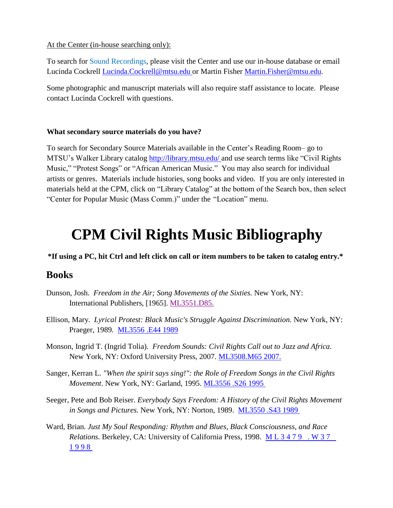## At the Center (in-house searching only):

To search for Sound Recordings, please visit the Center and use our in-house database or email Lucinda Cockrell [Lucinda.Cockrell@mtsu.edu o](mailto:Lucinda.Cockrell@mtsu.edu)r Martin Fisher [Martin.Fisher@mtsu.edu.](mailto:Martin.Fisher@mtsu.edu)

Some photographic and manuscript materials will also require staff assistance to locate. Please contact Lucinda Cockrell with questions.

## **What secondary source materials do you have?**

To search for Secondary Source Materials available in the Center's Reading Room– go to MTSU's Walker Library catalog [http://library.mtsu.edu/ a](http://library.mtsu.edu/)nd use search terms like "Civil Rights" Music," "Protest Songs" or "African American Music." You may also search for individual artists or genres. Materials include histories, song books and video. If you are only interested in materials held at the CPM, click on "Library Catalog" at the bottom of the Search box, then select "Center for Popular Music (Mass Comm.)" under the "Location" menu.

# **CPM Civil Rights Music Bibliography**

## **\*If using a PC, hit Ctrl and left click on call or item numbers to be taken to catalog entry.\***

# **Books**

- Dunson, Josh. *Freedom in the Air; Song Movements of the Sixties.* New York, NY: International Publishers, [1965]. [ML3551.D85.](http://library2.mtsu.edu/search~S1?/cML3551.D85./cml+3551+d85/1%2C1%2C2%2CE/frameset&FF=cml+3551+d85&1%2C%2C2/indexsort=-)
- Ellison, Mary. *Lyrical Protest: Black Music's Struggle Against Discrimination.* New York, NY: Praeger, 1989*.* [ML3556 .E44 1989](http://library2.mtsu.edu/search~S1?/cML3556+.E44+1989./cml+3556+e44+1989/1%2C1%2C2%2CE/frameset&FF=cml+3556+e44+1989&1%2C%2C2/indexsort=-)
- Monson, Ingrid T. (Ingrid Tolia). *Freedom Sounds: Civil Rights Call out to Jazz and Africa*. New York, NY: Oxford University Press, 2007. [ML3508.M65 2007.](http://library2.mtsu.edu/search~S1/?searchtype=c&searcharg=ML3508.M65+2007.&searchscope=1&sortdropdown=-&SORT=D&extended=1&SUBMIT=Search&searchlimits=&searchorigarg=cML3556+.E44+1989.)
- Sanger, Kerran L. *"When the spirit says sing!": the Role of Freedom Songs in the Civil Rights Movement*. New York, NY: Garland, 1995. [ML3556 .S26 1995](http://library2.mtsu.edu/search~S1?/cML3556.S26+1995./cml+3556+s26+1995/1%2C1%2C2%2CE/frameset&FF=cml+3556+s26+1995&1%2C%2C2/indexsort=-)
- Seeger, Pete and Bob Reiser. *Everybody Says Freedom: A History of the Civil Rights Movement in Songs and Pictures.* New York, NY: Norton, 1989. [ML3550 .S43 1989](http://library2.mtsu.edu/search~S1?/cML3550.S43+1989./cml+3550+s43+1989/1%2C1%2C2%2CE/frameset&FF=cml+3550+s43+1989&1%2C%2C2/indexsort=-)
- Ward, Brian. *Just My Soul Responding: Rhythm and Blues, Black Consciousness, and Race Relations. Berkeley, CA: University of California Press, 1998. ML3479. W37* [1 9 9 8](http://library2.mtsu.edu/search~S1?/cML3479+.W37+1998./cml+3479+w37+1998/1%2C1%2C2%2CE/frameset&FF=cml+3479+w37+1998&1%2C%2C2/indexsort=-)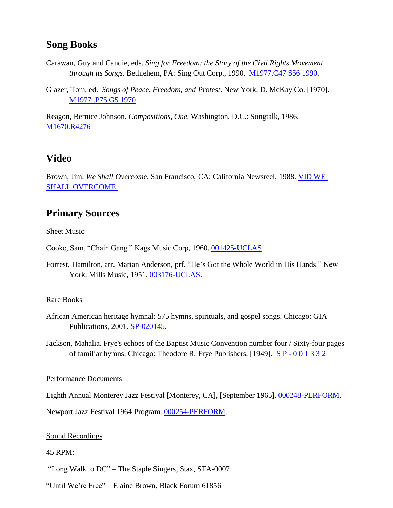## **Song Books**

- Carawan, Guy and Candie, eds. *Sing for Freedom: the Story of the Civil Rights Movement through its Songs*. Bethlehem, PA: Sing Out Corp., 1990. [M1977.C47 S56 1990.](http://library2.mtsu.edu/search~S1?/cM1977.C47+S56+1990./cm++1977+c47+s56+1990/1%2C1%2C2%2CE/frameset&FF=cm++1977+c47+s56+1990&1%2C%2C2/indexsort=-)
- Glazer, Tom, ed. *Songs of Peace, Freedom, and Protest*. New York, D. McKay Co. [1970]. [M1977](http://library2.mtsu.edu/search~S1?/cM1977+.P75+G5+1970/cm++1977+p75+g5+1970/1%2C1%2C2%2CE/frameset&FF=cm++1977+p75+g5+1970&1%2C%2C2/indexsort=-) .P75 G5 1970

Reagon, Bernice Johnson. *Compositions, One*. Washington, D.C.: Songtalk, 1986. [M1670.R4276](http://library2.mtsu.edu/search~S1/?searchtype=c&searcharg=M1670.R4276&searchscope=1&sortdropdown=-&SORT=D&extended=1&SUBMIT=Search&searchlimits=&searchorigarg=cM1977+.P75+G5+1970)

## **Video**

Brown, Jim. *We Shall Overcome*. San Francisco, CA: California Newsreel, 1988. [VID](http://library2.mtsu.edu/search/X?SEARCH=t:(We%20Shall%20Overcome)&searchscope=1&SORT=D&m=3&b=p) WE SHALL [OVERCOME.](http://library2.mtsu.edu/search/X?SEARCH=t:(We%20Shall%20Overcome)&searchscope=1&SORT=D&m=3&b=p)

# **Primary Sources**

Sheet Music

Cooke, Sam. "Chain Gang." Kags Music Corp, 1960. [001425-UCLAS.](http://popmusic.mtsu.edu/collections/results.aspx?QB0=AND&QF0=Item+ID%7cAccession+Number%7cTitle%7cAdditional+Title%7cCreator%7cAdditional+Author%7cPublisher%7cPlace+of+Publication%7cSubject%7cSubgroup%7cSeries%7cEdition%7cNotes%7cSong+Titles%7cFirst+Line%7cLyrics%7cTune%7cNotation%7cDescription%7cCoverage%7cCompany%7cProducts%7cMembership%7cISSN%7cPerformer%7cVenue%7cPerformance+Place%7cRepertoire&QI0=001425-uclas&QB1=AND&QF1=Title%7cAdditional+Title%7cSong+Titles%7cTune%7cCompany%7cRepertoire&QI1=&QB2=AND&QF2=Creator%7cAdditional+Author%7cPerformer&QI2=&QB7=AND&QF7=Publisher%7cMembership&QI7=&QB4=AND&QF4=Date%7cCoverage%7cPerformance+Date&QI4=&QB3=AND&QF3=Subject&QI3=&QB6=AND&QF6=First+Line%7cLyrics&QI6=&QB5=AND&QF5=Collection&QI5=%3dSheet+Music&TN=Combined&AC=QBE_QUERY&BU=%2fcollections%2fadvanced-search.aspx&)

Forrest, Hamilton, arr. Marian Anderson, prf. "He's Got the Whole World in His Hands." New York: Mills Music, 1951. [003176-UCLAS.](http://popmusic.mtsu.edu/collections/results.aspx?QB0=AND&QF0=Item+ID%7cAccession+Number%7cTitle%7cAdditional+Title%7cCreator%7cAdditional+Author%7cPublisher%7cPlace+of+Publication%7cSubject%7cSubgroup%7cSeries%7cEdition%7cNotes%7cSong+Titles%7cFirst+Line%7cLyrics%7cTune%7cNotation%7cDescription%7cCoverage%7cCompany%7cProducts%7cMembership%7cISSN%7cPerformer%7cVenue%7cPerformance+Place%7cRepertoire&QI0=003176-uclas&QB1=AND&QF1=Title%7cAdditional+Title%7cSong+Titles%7cTune%7cCompany%7cRepertoire&QI1=&QB2=AND&QF2=Creator%7cAdditional+Author%7cPerformer&QI2=&QB7=AND&QF7=Publisher%7cMembership&QI7=&QB4=AND&QF4=Date%7cCoverage%7cPerformance+Date&QI4=&QB3=AND&QF3=Subject&QI3=&QB6=AND&QF6=First+Line%7cLyrics&QI6=&QB5=AND&QF5=Collection&QI5=%3dSheet+Music&TN=Combined&AC=QBE_QUERY&BU=%2fcollections%2fadvanced-search.aspx&)

## Rare Books

African American heritage hymnal: 575 hymns, spirituals, and gospel songs. Chicago: GIA Publications, 2001. [SP-020145.](http://popmusic.mtsu.edu/collections/results.aspx?AC=GET_RECORD&XC=/collections/results.aspx&BU=http%3A%2F%2Fpopmusic.mtsu.edu%2Fcollections%2Fadvanced-search.aspx&TN=Combined&SN=AUTO813&SE=1283&RN=0&MR=20&TR=0&TX=1000&ES=0&CS=0&XP=&RF=WebBrief&EF=&DF=WebFull&RL=0&EL=0&DL=0&NP=255&ID=&MF=GENERICENGWPMSG.INI&MQ=&TI=0&DT=&ST=0&IR=12644&NR=0&NB=0&SV=0&SS=0&BG=&FG=&QS=&OEX=ISO-8859-1&OEH=utf-8)

Jackson, Mahalia. Frye's echoes of the Baptist Music Convention number four / Sixty-four pages of familiar hymns. Chicago: Theodore R. Frye Publishers, [1949]. S P - [0 0 1 3 3 2](http://popmusic.mtsu.edu/collections/results.aspx?AC=GET_RECORD&XC=/collections/results.aspx&BU=http%3A%2F%2Fpopmusic.mtsu.edu%2Fcollections%2Fadvanced-search.aspx&TN=Combined&SN=AUTO2081&SE=1284&RN=0&MR=20&TR=0&TX=1000&ES=0&CS=0&XP=&RF=WebBrief&EF=&DF=WebFull&RL=0&EL=0&DL=0&NP=255&ID=&MF=GENERICENGWPMSG.INI&MQ=&TI=0&DT=&ST=0&IR=7624&NR=0&NB=0&SV=0&SS=0&BG=&FG=&QS=&OEX=ISO-8859-1&OEH=utf-8)

## Performance Documents

Eighth Annual Monterey Jazz Festival [Monterey, CA], [September 1965]. [000248-PERFORM.](http://popmusic.mtsu.edu/collections/results.aspx?AC=GET_RECORD&XC=/collections/results.aspx&BU=http%3A%2F%2Fpopmusic.mtsu.edu%2Fcollections%2Fadvanced-search.aspx&TN=Combined&SN=AUTO2404&SE=1285&RN=0&MR=20&TR=0&TX=1000&ES=0&CS=0&XP=&RF=WebBrief&EF=&DF=WebFull&RL=0&EL=0&DL=0&NP=255&ID=&MF=GENERICENGWPMSG.INI&MQ=&TI=0&DT=&ST=0&IR=2758&NR=0&NB=0&SV=0&SS=0&BG=&FG=&QS=&OEX=ISO-8859-1&OEH=utf-8)

Newport Jazz Festival 1964 Program. [000254-PERFORM.](http://popmusic.mtsu.edu/collections/results.aspx?AC=GET_RECORD&XC=/collections/results.aspx&BU=http%3A%2F%2Fpopmusic.mtsu.edu%2Fcollections%2Fadvanced-search.aspx&TN=Combined&SN=AUTO3067&SE=1286&RN=0&MR=20&TR=0&TX=1000&ES=0&CS=0&XP=&RF=WebBrief&EF=&DF=WebFull&RL=0&EL=0&DL=0&NP=255&ID=&MF=GENERICENGWPMSG.INI&MQ=&TI=0&DT=&ST=0&IR=2764&NR=0&NB=0&SV=0&SS=0&BG=&FG=&QS=&OEX=ISO-8859-1&OEH=utf-8)

## Sound Recordings

#### 45 RPM:

"Long Walk to DC" – The Staple Singers, Stax, STA-0007

"Until We're Free" – Elaine Brown, Black Forum 61856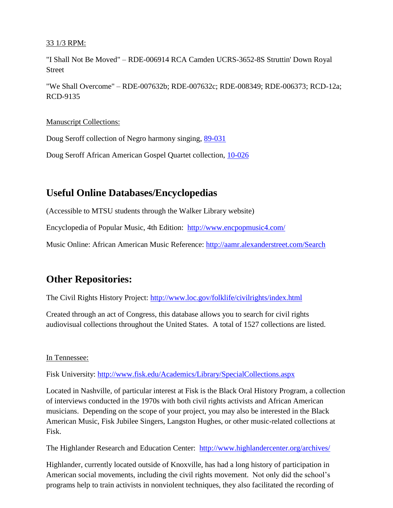## 33 1/3 RPM:

"I Shall Not Be Moved" – RDE-006914 RCA Camden UCRS-3652-8S Struttin' Down Royal Street

"We Shall Overcome" – RDE-007632b; RDE-007632c; RDE-008349; RDE-006373; RCD-12a; RCD-9135

## Manuscript Collections:

Doug Seroff collection of Negro harmony singing, [89-031](http://popmusic.mtsu.edu/collections/results.aspx?AC=GET_RECORD&XC=/collections/results.aspx&BU=http%3A%2F%2Fpopmusic.mtsu.edu%2Fcollections%2Fadvanced-search.aspx&TN=Combined&SN=AUTO3308&SE=1287&RN=0&MR=20&TR=0&TX=1000&ES=0&CS=0&XP=&RF=WebBrief&EF=&DF=WebFull&RL=0&EL=0&DL=0&NP=255&ID=&MF=GENERICENGWPMSG.INI&MQ=&TI=0&DT=&ST=0&IR=4910&NR=0&NB=0&SV=0&SS=0&BG=&FG=&QS=&OEX=ISO-8859-1&OEH=utf-8)

Doug Seroff African American Gospel Quartet collection, [10-026](http://popmusic.mtsu.edu/collections/results.aspx?AC=GET_RECORD&XC=/collections/results.aspx&BU=http%3A%2F%2Fpopmusic.mtsu.edu%2Fcollections%2Fadvanced-search.aspx&TN=Combined&SN=AUTO3410&SE=1288&RN=0&MR=20&TR=0&TX=1000&ES=0&CS=0&XP=&RF=WebBrief&EF=&DF=WebFull&RL=0&EL=0&DL=0&NP=255&ID=&MF=GENERICENGWPMSG.INI&MQ=&TI=0&DT=&ST=0&IR=5047&NR=0&NB=0&SV=0&SS=0&BG=&FG=&QS=&OEX=ISO-8859-1&OEH=utf-8)

## **Useful Online Databases/Encyclopedias**

(Accessible to MTSU students through the Walker Library website)

Encyclopedia of Popular Music, 4th Edition: <http://www.encpopmusic4.com/>

Music Online: African American Music Reference: <http://aamr.alexanderstreet.com/Search>

# **Other Repositories:**

The Civil Rights History Project: <http://www.loc.gov/folklife/civilrights/index.html>

Created through an act of Congress, this database allows you to search for civil rights audiovisual collections throughout the United States. A total of 1527 collections are listed.

## In Tennessee:

Fisk University:<http://www.fisk.edu/Academics/Library/SpecialCollections.aspx>

Located in Nashville, of particular interest at Fisk is the Black Oral History Program, a collection of interviews conducted in the 1970s with both civil rights activists and African American musicians. Depending on the scope of your project, you may also be interested in the Black American Music, Fisk Jubilee Singers, Langston Hughes, or other music-related collections at Fisk.

The Highlander Research and Education Center: <http://www.highlandercenter.org/archives/>

Highlander, currently located outside of Knoxville, has had a long history of participation in American social movements, including the civil rights movement. Not only did the school's programs help to train activists in nonviolent techniques, they also facilitated the recording of